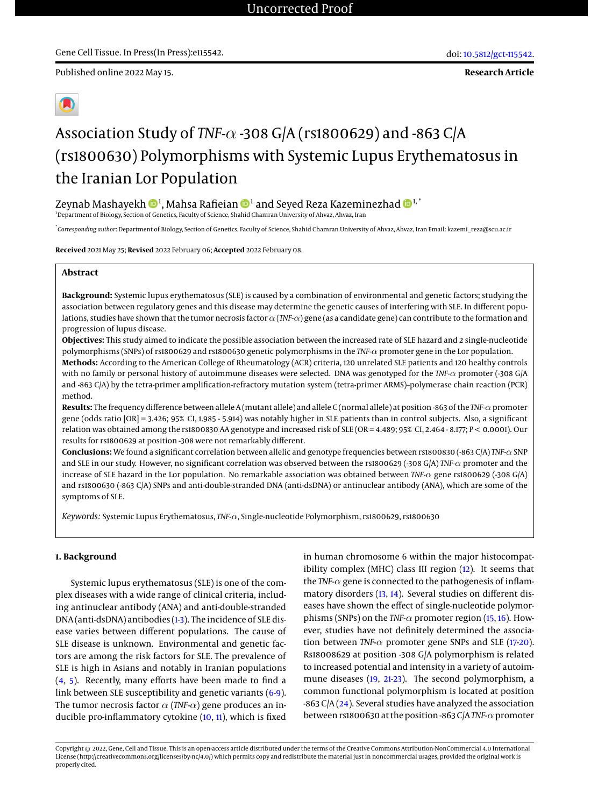**Research Article**



# Association Study of *TNF-*α -308 G/A (rs1800629) and -863 C/A (rs1800630) Polymorphisms with Systemic Lupus Erythematosus in the Iranian Lor Population

# Zeynab Mashayekh  $\mathbf{\Phi}^1$  $\mathbf{\Phi}^1$ , Mahsa Rafieian  $\mathbf{\Phi}^1$  and Seyed Reza Kazeminezhad  $\mathbf{\Phi}^{1, *}$

<sup>1</sup>Department of Biology, Section of Genetics, Faculty of Science, Shahid Chamran University of Ahvaz, Ahvaz, Iran

\* *Corresponding author*: Department of Biology, Section of Genetics, Faculty of Science, Shahid Chamran University of Ahvaz, Ahvaz, Iran Email: kazemi\_reza@scu.ac.ir

**Received** 2021 May 25; **Revised** 2022 February 06; **Accepted** 2022 February 08.

# **Abstract**

**Background:** Systemic lupus erythematosus (SLE) is caused by a combination of environmental and genetic factors; studying the association between regulatory genes and this disease may determine the genetic causes of interfering with SLE. In different populations, studies have shown that the tumor necrosis factor  $\alpha$  (*TNF-*α) gene (as a candidate gene) can contribute to the formation and progression of lupus disease.

**Objectives:** This study aimed to indicate the possible association between the increased rate of SLE hazard and 2 single-nucleotide polymorphisms (SNPs) of rs1800629 and rs1800630 genetic polymorphisms in the *TNF-*α promoter gene in the Lor population.

**Methods:** According to the American College of Rheumatology (ACR) criteria, 120 unrelated SLE patients and 120 healthy controls with no family or personal history of autoimmune diseases were selected. DNA was genotyped for the *TNF-*α promoter (-308 G/A and -863 C/A) by the tetra-primer amplification-refractory mutation system (tetra-primer ARMS)–polymerase chain reaction (PCR) method.

**Results:** The frequency difference between allele A (mutant allele) and allele C (normal allele) at position -863 of the *TNF-*αpromoter gene (odds ratio [OR] = 3.426; 95% CI, 1.985 - 5.914) was notably higher in SLE patients than in control subjects. Also, a significant relation was obtained among the rs1800830 AA genotype and increased risk of SLE (OR = 4.489; 95% CI, 2.464 - 8.177; P < 0.0001). Our results for rs1800629 at position -308 were not remarkably different.

**Conclusions:** We found a significant correlation between allelic and genotype frequencies between rs1800830 (-863 C/A) *TNF-*α SNP and SLE in our study. However, no significant correlation was observed between the rs1800629 (-308 G/A) *TNF-*α promoter and the increase of SLE hazard in the Lor population. No remarkable association was obtained between *TNF-*α gene rs1800629 (-308 G/A) and rs1800630 (-863 C/A) SNPs and anti-double-stranded DNA (anti-dsDNA) or antinuclear antibody (ANA), which are some of the symptoms of SLE.

*Keywords:* Systemic Lupus Erythematosus, *TNF-*α, Single-nucleotide Polymorphism, rs1800629, rs1800630

# **1. Background**

Systemic lupus erythematosus (SLE) is one of the complex diseases with a wide range of clinical criteria, including antinuclear antibody (ANA) and anti-double-stranded DNA (anti-dsDNA) antibodies [\(1](#page-4-0)[-3\)](#page-4-1). The incidence of SLE disease varies between different populations. The cause of SLE disease is unknown. Environmental and genetic factors are among the risk factors for SLE. The prevalence of SLE is high in Asians and notably in Iranian populations [\(4,](#page-4-2) [5\)](#page-4-3). Recently, many efforts have been made to find a link between SLE susceptibility and genetic variants [\(6-](#page-4-4)[9\)](#page-4-5). The tumor necrosis factor α (*TNF-*α) gene produces an inducible pro-inflammatory cytokine [\(10,](#page-5-0) [11\)](#page-5-1), which is fixed

in human chromosome 6 within the major histocompatibility complex (MHC) class III region [\(12\)](#page-5-2). It seems that the *TNF-*α gene is connected to the pathogenesis of inflam-matory disorders [\(13,](#page-5-3) [14\)](#page-5-4). Several studies on different diseases have shown the effect of single-nucleotide polymorphisms (SNPs) on the *TNF-*α promoter region [\(15,](#page-5-5) [16\)](#page-5-6). However, studies have not definitely determined the association between *TNF-*α promoter gene SNPs and SLE [\(17-](#page-5-7)[20\)](#page-5-8). Rs18008629 at position -308 G/A polymorphism is related to increased potential and intensity in a variety of autoimmune diseases [\(19,](#page-5-9) [21](#page-5-10)[-23\)](#page-5-11). The second polymorphism, a common functional polymorphism is located at position -863 C $A$  [\(24\)](#page-5-12). Several studies have analyzed the association between rs1800630 at the position -863 C/A*TNF-*αpromoter

Copyright © 2022, Gene, Cell and Tissue. This is an open-access article distributed under the terms of the Creative Commons Attribution-NonCommercial 4.0 International License (http://creativecommons.org/licenses/by-nc/4.0/) which permits copy and redistribute the material just in noncommercial usages, provided the original work is properly cited.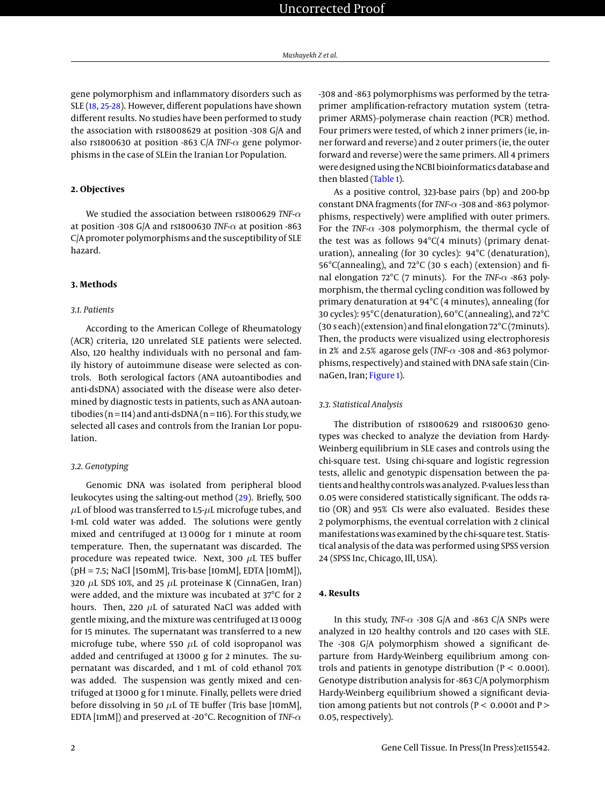gene polymorphism and inflammatory disorders such as SLE [\(18,](#page-5-13) [25](#page-5-14)[-28\)](#page-5-15). However, different populations have shown different results. No studies have been performed to study the association with rs18008629 at position -308 G/A and also rs1800630 at position -863 C/A *TNF-*α gene polymorphisms in the case of SLEin the Iranian Lor Population.

# **2. Objectives**

We studied the association between rs1800629 *TNF-*α at position -308 G/A and rs1800630 *TNF-*α at position -863 C/A promoter polymorphisms and the susceptibility of SLE hazard.

#### **3. Methods**

#### *3.1. Patients*

According to the American College of Rheumatology (ACR) criteria, 120 unrelated SLE patients were selected. Also, 120 healthy individuals with no personal and family history of autoimmune disease were selected as controls. Both serological factors (ANA autoantibodies and anti-dsDNA) associated with the disease were also determined by diagnostic tests in patients, such as ANA autoantibodies ( $n = 114$ ) and anti-dsDNA ( $n = 116$ ). For this study, we selected all cases and controls from the Iranian Lor population.

#### *3.2. Genotyping*

Genomic DNA was isolated from peripheral blood leukocytes using the salting-out method [\(29\)](#page-5-16). Briefly, 500  $\mu$ L of blood was transferred to 1.5- $\mu$ L microfuge tubes, and 1-mL cold water was added. The solutions were gently mixed and centrifuged at 13 000g for 1 minute at room temperature. Then, the supernatant was discarded. The procedure was repeated twice. Next, 300  $\mu$ L TES buffer (pH = 7.5; NaCl [150mM], Tris-base [10mM], EDTA [10mM]), 320  $\mu$ L SDS 10%, and 25  $\mu$ L proteinase K (CinnaGen, Iran) were added, and the mixture was incubated at 37°C for 2 hours. Then, 220  $\mu$ L of saturated NaCl was added with gentle mixing, and the mixture was centrifuged at 13 000g for 15 minutes. The supernatant was transferred to a new microfuge tube, where 550  $\mu$ L of cold isopropanol was added and centrifuged at 13000 g for 2 minutes. The supernatant was discarded, and 1 mL of cold ethanol 70% was added. The suspension was gently mixed and centrifuged at 13000 g for 1 minute. Finally, pellets were dried before dissolving in 50  $\mu$ L of TE buffer (Tris base [10mM], EDTA [1mM]) and preserved at -20°C. Recognition of *TNF-*α

-308 and -863 polymorphisms was performed by the tetraprimer amplification-refractory mutation system (tetraprimer ARMS)–polymerase chain reaction (PCR) method. Four primers were tested, of which 2 inner primers (ie, inner forward and reverse) and 2 outer primers (ie, the outer forward and reverse) were the same primers. All 4 primers were designed using the NCBI bioinformatics database and then blasted [\(Table 1\)](#page-2-0).

As a positive control, 323-base pairs (bp) and 200-bp constant DNA fragments (for *TNF-*α -308 and -863 polymorphisms, respectively) were amplified with outer primers. For the *TNF-*α -308 polymorphism, the thermal cycle of the test was as follows  $94^{\circ}C(4 \text{ minutes})$  (primary denaturation), annealing (for 30 cycles): 94°C (denaturation), 56°C(annealing), and 72°C (30 s each) (extension) and final elongation 72°C (7 minuts). For the *TNF-*α -863 polymorphism, the thermal cycling condition was followed by primary denaturation at 94°C (4 minutes), annealing (for 30 cycles): 95°C (denaturation), 60°C (annealing), and 72°C (30 s each) (extension) and final elongation 72°C (7minuts). Then, the products were visualized using electrophoresis in 2% and 2.5% agarose gels (*TNF-*α -308 and -863 polymorphisms, respectively) and stained with DNA safe stain (CinnaGen, Iran; [Figure 1\)](#page-2-1).

#### *3.3. Statistical Analysis*

The distribution of rs1800629 and rs1800630 genotypes was checked to analyze the deviation from Hardy-Weinberg equilibrium in SLE cases and controls using the chi-square test. Using chi-square and logistic regression tests, allelic and genotypic dispensation between the patients and healthy controls was analyzed. P-values less than 0.05 were considered statistically significant. The odds ratio (OR) and 95% CIs were also evaluated. Besides these 2 polymorphisms, the eventual correlation with 2 clinical manifestations was examined by the chi-square test. Statistical analysis of the data was performed using SPSS version 24 (SPSS Inc, Chicago, Ill, USA).

#### **4. Results**

In this study, *TNF-*α -308 G/A and -863 C/A SNPs were analyzed in 120 healthy controls and 120 cases with SLE. The -308 G/A polymorphism showed a significant departure from Hardy-Weinberg equilibrium among controls and patients in genotype distribution ( $P < 0.0001$ ). Genotype distribution analysis for -863 C/A polymorphism Hardy-Weinberg equilibrium showed a significant deviation among patients but not controls ( $P < 0.0001$  and  $P >$ 0.05, respectively).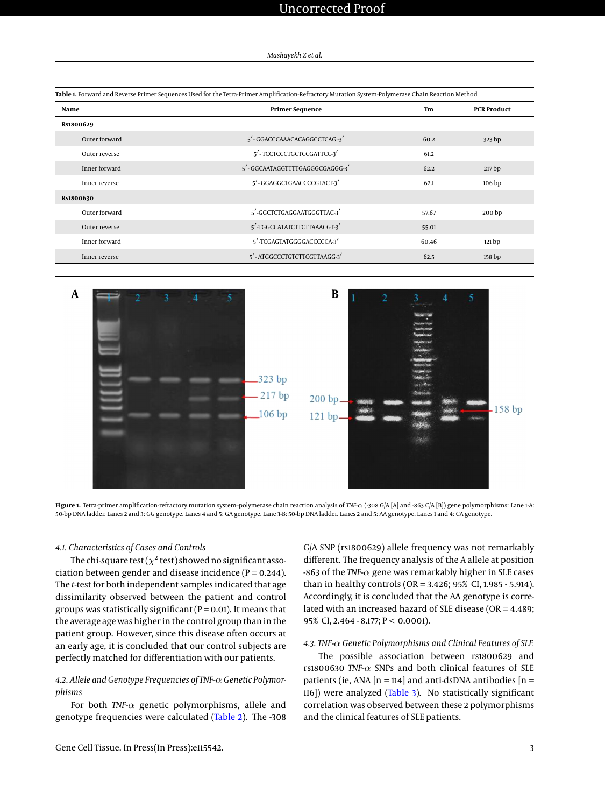| Mashayekh Z et al. |  |  |  |
|--------------------|--|--|--|
|--------------------|--|--|--|

<span id="page-2-0"></span>

| Table 1. Forward and Reverse Primer Sequences Used for the Tetra-Primer Amplification-Refractory Mutation System-Polymerase Chain Reaction Method |                                |                                 |                   |  |
|---------------------------------------------------------------------------------------------------------------------------------------------------|--------------------------------|---------------------------------|-------------------|--|
| Name                                                                                                                                              | <b>Primer Sequence</b>         | <b>PCR Product</b><br><b>Tm</b> |                   |  |
| Rs1800629                                                                                                                                         |                                |                                 |                   |  |
| Outer forward                                                                                                                                     | 5'-GGACCCAAACACAGGCCTCAG-3'    | 60.2                            | 323 bp            |  |
| Outer reverse                                                                                                                                     | 5'-TCCTCCCTGCTCCGATTCC-3'      | 61.2                            |                   |  |
| Inner forward                                                                                                                                     | 5'-GGCAATAGGTTTTGAGGGCGAGGG-3' | 62.2                            | 217 bp            |  |
| Inner reverse                                                                                                                                     | 5'-GGAGGCTGAACCCCGTACT-3'      | 62.1                            | 106 bp            |  |
| Rs1800630                                                                                                                                         |                                |                                 |                   |  |
| Outer forward                                                                                                                                     | 5'-GGCTCTGAGGAATGGGTTAC-3'     | 57.67                           | 200 <sub>bp</sub> |  |
| Outer reverse                                                                                                                                     | 5'-TGGCCATATCTTCTTAAACGT-3'    | 55.01                           |                   |  |
| Inner forward                                                                                                                                     | 5'-TCGAGTATGGGGACCCCCA-3'      | 60.46                           | 121 bp            |  |
| Inner reverse                                                                                                                                     | 5'-ATGGCCCTGTCTTCGTTAAGG-3'    | 62.5                            | 158 bp            |  |

<span id="page-2-1"></span>



#### *4.1. Characteristics of Cases and Controls*

The chi-square test ( $\chi^2$  test) showed no significant association between gender and disease incidence ( $P = 0.244$ ). The *t*-test for both independent samples indicated that age dissimilarity observed between the patient and control groups was statistically significant ( $P = 0.01$ ). It means that the average age was higher in the control group than in the patient group. However, since this disease often occurs at an early age, it is concluded that our control subjects are perfectly matched for differentiation with our patients.

# *4.2. Allele and Genotype Frequencies of TNF-*α *Genetic Polymorphisms*

For both *TNF-*α genetic polymorphisms, allele and genotype frequencies were calculated [\(Table 2\)](#page-3-0). The -308 G/A SNP (rs1800629) allele frequency was not remarkably different. The frequency analysis of the A allele at position -863 of the *TNF-*α gene was remarkably higher in SLE cases than in healthy controls (OR = 3.426; 95% CI, 1.985 - 5.914). Accordingly, it is concluded that the AA genotype is correlated with an increased hazard of SLE disease (OR = 4.489; 95% CI, 2.464 - 8.177; P < 0.0001).

# *4.3. TNF-*α *Genetic Polymorphisms and Clinical Features of SLE*

The possible association between rs1800629 and rs1800630 *TNF-*α SNPs and both clinical features of SLE patients (ie, ANA  $[n = 114]$  and anti-dsDNA antibodies  $[n = 114]$ 116]) were analyzed [\(Table 3\)](#page-3-1). No statistically significant correlation was observed between these 2 polymorphisms and the clinical features of SLE patients.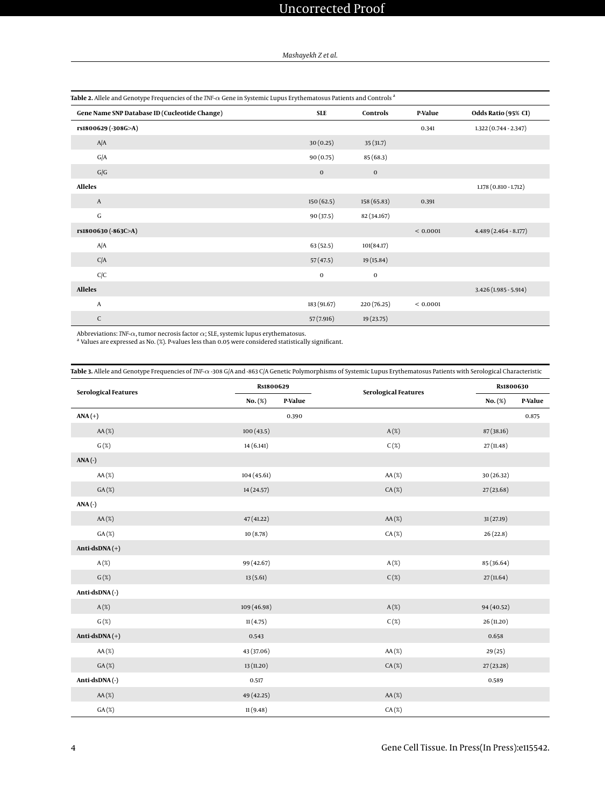<span id="page-3-0"></span>

| Table 2. Allele and Genotype Frequencies of the TNF- $\alpha$ Gene in Systemic Lupus Erythematosus Patients and Controls <sup>a</sup> |             |             |          |                        |
|---------------------------------------------------------------------------------------------------------------------------------------|-------------|-------------|----------|------------------------|
| Gene Name SNP Database ID (Cucleotide Change)                                                                                         | <b>SLE</b>  | Controls    | P-Value  | Odds Ratio (95% CI)    |
| rs1800629 (-308G>A)                                                                                                                   |             |             | 0.341    | 1.322 (0.744 - 2.347)  |
| A/A                                                                                                                                   | 30(0.25)    | 35(31.7)    |          |                        |
| G/A                                                                                                                                   | 90(0.75)    | 85 (68.3)   |          |                        |
| G/G                                                                                                                                   | $\mathbf 0$ | $\bf{0}$    |          |                        |
| <b>Alleles</b>                                                                                                                        |             |             |          | 1.178 (0.810 - 1.712)  |
| A                                                                                                                                     | 150(62.5)   | 158 (65.83) | 0.391    |                        |
| ${\bf G}$                                                                                                                             | 90(37.5)    | 82 (34.167) |          |                        |
| rs1800630 (-863C>A)                                                                                                                   |             |             | < 0.0001 | $4.489(2.464 - 8.177)$ |
| A/A                                                                                                                                   | 63(52.5)    | 101(84.17)  |          |                        |
| C/A                                                                                                                                   | 57(47.5)    | 19 (15.84)  |          |                        |
| C/C                                                                                                                                   | $\mathbf 0$ | $\bf{0}$    |          |                        |
| <b>Alleles</b>                                                                                                                        |             |             |          | $3.426(1.985 - 5.914)$ |
| A                                                                                                                                     | 183 (91.67) | 220 (76.25) | < 0.0001 |                        |
| $\mathsf{C}$                                                                                                                          | 57(7.916)   | 19 (23.75)  |          |                        |

Abbreviations: *TNF-α*, tumor necrosis factor α; SLE, systemic lupus erythematosus.<br><sup>a</sup> Values are expressed as No. (%). P-values less than 0.05 were considered statistically significant.

<span id="page-3-1"></span>**Table 3.** Allele and Genotype Frequencies of *TNF-*α -308 G/A and -863 C/A Genetic Polymorphisms of Systemic Lupus Erythematosus Patients with Serological Characteristic

| <b>Serological Features</b> | Rs1800629   |         | <b>Serological Features</b> |            | Rs1800630 |  |
|-----------------------------|-------------|---------|-----------------------------|------------|-----------|--|
|                             | No. (%)     | P-Value |                             | No. (%)    | P-Value   |  |
| $ANA (+)$                   |             | 0.390   |                             |            | 0.875     |  |
| $AA(\%)$                    | 100(43.5)   |         | $A(\%)$                     | 87 (38.16) |           |  |
| $G(\%)$                     | 14 (6.141)  |         | $C(\%)$                     | 27(11.48)  |           |  |
| $ANA(-)$                    |             |         |                             |            |           |  |
| $AA(\%)$                    | 104(45.61)  |         | $AA(\%)$                    | 30 (26.32) |           |  |
| $GA(\%)$                    | 14(24.57)   |         | $CA(\%)$                    | 27(23.68)  |           |  |
| $ANA(-)$                    |             |         |                             |            |           |  |
| $AA(\%)$                    | 47(41.22)   |         | $AA(\%)$                    | 31(27.19)  |           |  |
| $GA(\%)$                    | 10(8.78)    |         | $CA(\%)$                    | 26(22.8)   |           |  |
| Anti-dsDNA $(+)$            |             |         |                             |            |           |  |
| $A(\%)$                     | 99 (42.67)  |         | $A(\%)$                     | 85 (36.64) |           |  |
| $G(\%)$                     | 13(5.61)    |         | $C(\%)$                     | 27(11.64)  |           |  |
| Anti-dsDNA(-)               |             |         |                             |            |           |  |
| $A(\%)$                     | 109 (46.98) |         | $A(\%)$                     | 94 (40.52) |           |  |
| $G(\%)$                     | 11(4.75)    |         | $C(\%)$                     | 26 (11.20) |           |  |
| Anti-dsDNA $(+)$            | 0.543       |         |                             | 0.658      |           |  |
| $AA(\%)$                    | 43 (37.06)  |         | $AA(\%)$                    | 29(25)     |           |  |
| $GA(\%)$                    | 13 (11.20)  |         | $CA(\%)$                    | 27(23.28)  |           |  |
| Anti-dsDNA(-)               | 0.517       |         |                             | 0.589      |           |  |
| $AA(\%)$                    | 49 (42.25)  |         | $AA(\%)$                    |            |           |  |
| GA(X)                       | 11(9.48)    |         | CA(%)                       |            |           |  |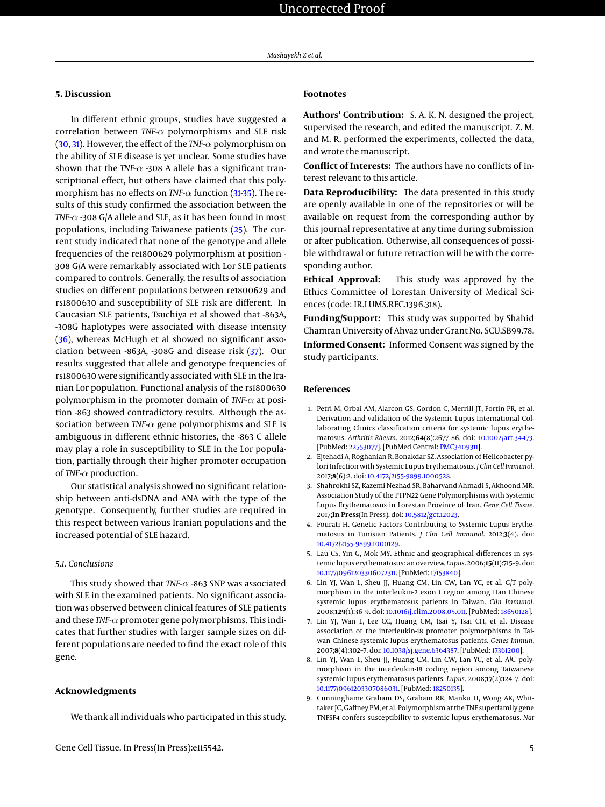# **5. Discussion**

In different ethnic groups, studies have suggested a correlation between *TNF-*α polymorphisms and SLE risk [\(30,](#page-5-17) [31\)](#page-5-18). However, the effect of the *TNF-*α polymorphism on the ability of SLE disease is yet unclear. Some studies have shown that the *TNF-* $\alpha$  -308 A allele has a significant transcriptional effect, but others have claimed that this polymorphism has no effects on *TNF-*α function [\(31-](#page-5-18)[35\)](#page-5-19). The results of this study confirmed the association between the *TNF-*α -308 G/A allele and SLE, as it has been found in most populations, including Taiwanese patients [\(25\)](#page-5-14). The current study indicated that none of the genotype and allele frequencies of the re1800629 polymorphism at position - 308 G/A were remarkably associated with Lor SLE patients compared to controls. Generally, the results of association studies on different populations between re1800629 and rs1800630 and susceptibility of SLE risk are different. In Caucasian SLE patients, Tsuchiya et al showed that -863A, -308G haplotypes were associated with disease intensity [\(36\)](#page-5-20), whereas McHugh et al showed no significant association between -863A, -308G and disease risk [\(37\)](#page-5-21). Our results suggested that allele and genotype frequencies of rs1800630 were significantly associated with SLE in the Iranian Lor population. Functional analysis of the rs1800630 polymorphism in the promoter domain of *TNF-*α at position -863 showed contradictory results. Although the association between *TNF-*α gene polymorphisms and SLE is ambiguous in different ethnic histories, the -863 C allele may play a role in susceptibility to SLE in the Lor population, partially through their higher promoter occupation of *TNF-*α production.

Our statistical analysis showed no significant relationship between anti-dsDNA and ANA with the type of the genotype. Consequently, further studies are required in this respect between various Iranian populations and the increased potential of SLE hazard.

#### *5.1. Conclusions*

This study showed that *TNF-*α -863 SNP was associated with SLE in the examined patients. No significant association was observed between clinical features of SLE patients and these *TNF-*α promoter gene polymorphisms. This indicates that further studies with larger sample sizes on different populations are needed to find the exact role of this gene.

### **Acknowledgments**

We thank all individuals who participated in this study.

#### **Footnotes**

**Authors' Contribution:** S. A. K. N. designed the project, supervised the research, and edited the manuscript. Z. M. and M. R. performed the experiments, collected the data, and wrote the manuscript.

**Conflict of Interests:** The authors have no conflicts of interest relevant to this article.

**Data Reproducibility:** The data presented in this study are openly available in one of the repositories or will be available on request from the corresponding author by this journal representative at any time during submission or after publication. Otherwise, all consequences of possible withdrawal or future retraction will be with the corresponding author.

**Ethical Approval:** This study was approved by the Ethics Committee of Lorestan University of Medical Sciences (code: IR.LUMS.REC.1396.318).

**Funding/Support:** This study was supported by Shahid Chamran University of Ahvaz under Grant No. SCU.SB99.78.

**Informed Consent:** Informed Consent was signed by the study participants.

#### **References**

- <span id="page-4-0"></span>1. Petri M, Orbai AM, Alarcon GS, Gordon C, Merrill JT, Fortin PR, et al. Derivation and validation of the Systemic Lupus International Collaborating Clinics classification criteria for systemic lupus erythematosus. *Arthritis Rheum*. 2012;**64**(8):2677–86. doi: [10.1002/art.34473.](http://dx.doi.org/10.1002/art.34473) [PubMed: [22553077\]](http://www.ncbi.nlm.nih.gov/pubmed/22553077). [PubMed Central: [PMC3409311\]](https://www.ncbi.nlm.nih.gov/pmc/articles/PMC3409311).
- 2. Ejtehadi A, Roghanian R, Bonakdar SZ. Association of Helicobacter pylori Infection with Systemic Lupus Erythematosus. *J Clin Cell Immunol*. 2017;**8**(6):2. doi: [10.4172/2155-9899.1000528.](http://dx.doi.org/10.4172/2155-9899.1000528)
- <span id="page-4-1"></span>3. Shahrokhi SZ, Kazemi Nezhad SR, Baharvand Ahmadi S, Akhoond MR. Association Study of the PTPN22 Gene Polymorphisms with Systemic Lupus Erythematosus in Lorestan Province of Iran. *Gene Cell Tissue*. 2017;**In Press**(In Press). doi: [10.5812/gct.12023.](http://dx.doi.org/10.5812/gct.12023)
- <span id="page-4-2"></span>4. Fourati H. Genetic Factors Contributing to Systemic Lupus Erythematosus in Tunisian Patients. *J Clin Cell Immunol*. 2012;**3**(4). doi: [10.4172/2155-9899.1000129.](http://dx.doi.org/10.4172/2155-9899.1000129)
- <span id="page-4-3"></span>5. Lau CS, Yin G, Mok MY. Ethnic and geographical differences in systemic lupus erythematosus: an overview. *Lupus*. 2006;**15**(11):715–9. doi: [10.1177/0961203306072311.](http://dx.doi.org/10.1177/0961203306072311) [PubMed: [17153840\]](http://www.ncbi.nlm.nih.gov/pubmed/17153840).
- <span id="page-4-4"></span>6. Lin YJ, Wan L, Sheu JJ, Huang CM, Lin CW, Lan YC, et al. G/T polymorphism in the interleukin-2 exon 1 region among Han Chinese systemic lupus erythematosus patients in Taiwan. *Clin Immunol*. 2008;**129**(1):36–9. doi: [10.1016/j.clim.2008.05.011.](http://dx.doi.org/10.1016/j.clim.2008.05.011) [PubMed: [18650128\]](http://www.ncbi.nlm.nih.gov/pubmed/18650128).
- 7. Lin YJ, Wan L, Lee CC, Huang CM, Tsai Y, Tsai CH, et al. Disease association of the interleukin-18 promoter polymorphisms in Taiwan Chinese systemic lupus erythematosus patients. *Genes Immun*. 2007;**8**(4):302–7. doi: [10.1038/sj.gene.6364387.](http://dx.doi.org/10.1038/sj.gene.6364387) [PubMed: [17361200\]](http://www.ncbi.nlm.nih.gov/pubmed/17361200).
- 8. Lin YJ, Wan L, Sheu JJ, Huang CM, Lin CW, Lan YC, et al. A/C polymorphism in the interleukin-18 coding region among Taiwanese systemic lupus erythematosus patients. *Lupus*. 2008;**17**(2):124–7. doi: [10.1177/0961203307086031.](http://dx.doi.org/10.1177/0961203307086031) [PubMed: [18250135\]](http://www.ncbi.nlm.nih.gov/pubmed/18250135).
- <span id="page-4-5"></span>9. Cunninghame Graham DS, Graham RR, Manku H, Wong AK, Whittaker JC, Gaffney PM, et al. Polymorphism at the TNF superfamily gene TNFSF4 confers susceptibility to systemic lupus erythematosus. *Nat*